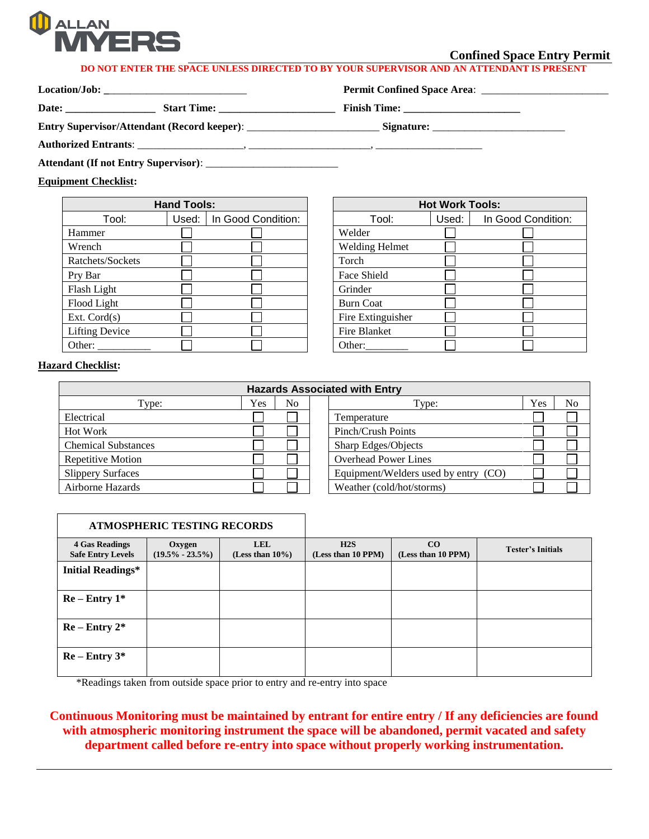

## **Confined Space Entry Permit**

## **DO NOT ENTER THE SPACE UNLESS DIRECTED TO BY YOUR SUPERVISOR AND AN ATTENDANT IS PRESENT**

**Location/Job: \_**\_\_\_\_\_\_\_\_\_\_\_\_\_\_\_\_\_\_\_\_\_\_\_\_\_\_ **Permit Confined Space Area**: \_\_\_\_\_\_\_\_\_\_\_\_\_\_\_\_\_\_\_\_\_\_\_\_

**Date: \_\_\_\_\_\_\_\_\_\_\_\_\_\_\_\_\_ Start Time: \_\_\_\_\_\_\_\_\_\_\_\_\_\_\_\_\_\_\_\_\_\_ Finish Time: \_\_\_\_\_\_\_\_\_\_\_\_\_\_\_\_\_\_\_\_\_\_**

**Entry Supervisor/Attendant (Record keeper)**: \_\_\_\_\_\_\_\_\_\_\_\_\_\_\_\_\_\_\_\_\_\_\_\_\_ **Signature:** \_\_\_\_\_\_\_\_\_\_\_\_\_\_\_\_\_\_\_\_\_\_\_\_\_

**Authorized Entrants**: \_\_\_\_\_\_\_\_\_\_\_\_\_\_\_\_\_\_\_\_, \_\_\_\_\_\_\_\_\_\_\_\_\_\_\_\_\_\_\_\_\_\_\_, \_\_\_\_\_\_\_\_\_\_\_\_\_\_\_\_\_\_\_\_

**Attendant (If not Entry Supervisor)**: \_\_\_\_\_\_\_\_\_\_\_\_\_\_\_\_\_\_\_\_\_\_\_\_\_

**Equipment Checklist:**

| <b>Hand Tools:</b>    |       |                    |                       |
|-----------------------|-------|--------------------|-----------------------|
| Tool:                 | Used: | In Good Condition: | Tool:                 |
| Hammer                |       |                    | Welder                |
| Wrench                |       |                    | <b>Welding Helmet</b> |
| Ratchets/Sockets      |       |                    | Torch                 |
| Pry Bar               |       |                    | Face Shield           |
| Flash Light           |       |                    | Grinder               |
| Flood Light           |       |                    | <b>Burn Coat</b>      |
| Ext. $Cord(s)$        |       |                    | Fire Extinguisher     |
| <b>Lifting Device</b> |       |                    | Fire Blanket          |
| Other:                |       |                    | Other:                |

| <b>Hand Tools:</b> |       |                    | <b>Hot Work Tools:</b> |       |                    |
|--------------------|-------|--------------------|------------------------|-------|--------------------|
| Tool:              | Used: | In Good Condition: | Tool:                  | Used: | In Good Condition: |
|                    |       |                    | Welder                 |       |                    |
|                    |       |                    | <b>Welding Helmet</b>  |       |                    |
| Sockets            |       |                    | Torch                  |       |                    |
|                    |       |                    | Face Shield            |       |                    |
| ght                |       |                    | Grinder                |       |                    |
| ight               |       |                    | <b>Burn Coat</b>       |       |                    |
| d(s)               |       |                    | Fire Extinguisher      |       |                    |
| <b>Device</b>      |       |                    | Fire Blanket           |       |                    |
|                    |       |                    | Other:                 |       |                    |

## **Hazard Checklist:**

| <b>Hazards Associated with Entry</b> |     |                |  |                                      |     |    |  |
|--------------------------------------|-----|----------------|--|--------------------------------------|-----|----|--|
| Type:                                | Yes | N <sub>o</sub> |  | Type:                                | Yes | No |  |
| Electrical                           |     |                |  | Temperature                          |     |    |  |
| <b>Hot Work</b>                      |     |                |  | Pinch/Crush Points                   |     |    |  |
| <b>Chemical Substances</b>           |     |                |  | Sharp Edges/Objects                  |     |    |  |
| Repetitive Motion                    |     |                |  | <b>Overhead Power Lines</b>          |     |    |  |
| <b>Slippery Surfaces</b>             |     |                |  | Equipment/Welders used by entry (CO) |     |    |  |
| Airborne Hazards                     |     |                |  | Weather (cold/hot/storms)            |     |    |  |

| <b>ATMOSPHERIC TESTING RECORDS</b>                |                               |                                   |                           |                          |                          |
|---------------------------------------------------|-------------------------------|-----------------------------------|---------------------------|--------------------------|--------------------------|
| <b>4 Gas Readings</b><br><b>Safe Entry Levels</b> | Oxygen<br>$(19.5\% - 23.5\%)$ | <b>LEL</b><br>(Less than $10\%$ ) | H2S<br>(Less than 10 PPM) | CO<br>(Less than 10 PPM) | <b>Tester's Initials</b> |
| <b>Initial Readings*</b>                          |                               |                                   |                           |                          |                          |
| $Re$ – Entry $1^*$                                |                               |                                   |                           |                          |                          |
| $Re - Entry 2*$                                   |                               |                                   |                           |                          |                          |
| $Re$ – Entry $3*$                                 |                               |                                   |                           |                          |                          |

\*Readings taken from outside space prior to entry and re-entry into space

**Continuous Monitoring must be maintained by entrant for entire entry / If any deficiencies are found with atmospheric monitoring instrument the space will be abandoned, permit vacated and safety department called before re-entry into space without properly working instrumentation.**